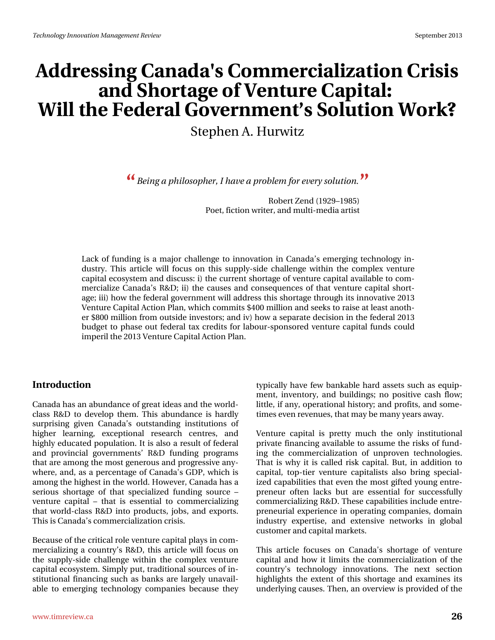# **Addressing Canada's Commercialization Crisis and Shortage of Venture Capital: Will the Federal Government's Solution Work?**

Stephen A. Hurwitz

*Being a philosopher, I have a problem for every solution.* **" "**

Robert Zend (1929–1985) Poet, fiction writer, and multi-media artist

Lack of funding is a major challenge to innovation in Canada's emerging technology industry. This article will focus on this supply-side challenge within the complex venture capital ecosystem and discuss: i) the current shortage of venture capital available to commercialize Canada's R&D; ii) the causes and consequences of that venture capital shortage; iii) how the federal government will address this shortage through its innovative 2013 Venture Capital Action Plan, which commits \$400 million and seeks to raise at least another \$800 million from outside investors; and iv) how a separate decision in the federal 2013 budget to phase out federal tax credits for labour-sponsored venture capital funds could imperil the 2013 Venture Capital Action Plan.

### **Introduction**

Canada has an abundance of great ideas and the worldclass R&D to develop them. This abundance is hardly surprising given Canada's outstanding institutions of higher learning, exceptional research centres, and highly educated population. It is also a result of federal and provincial governments' R&D funding programs that are among the most generous and progressive anywhere, and, as a percentage of Canada's GDP, which is among the highest in the world. However, Canada has a serious shortage of that specialized funding source – venture capital – that is essential to commercializing that world-class R&D into products, jobs, and exports. This is Canada's commercialization crisis.

Because of the critical role venture capital plays in commercializing a country's R&D, this article will focus on the supply-side challenge within the complex venture capital ecosystem. Simply put, traditional sources of institutional financing such as banks are largely unavailable to emerging technology companies because they

typically have few bankable hard assets such as equipment, inventory, and buildings; no positive cash flow; little, if any, operational history; and profits, and sometimes even revenues, that may be many years away.

Venture capital is pretty much the only institutional private financing available to assume the risks of funding the commercialization of unproven technologies. That is why it is called risk capital. But, in addition to capital, top-tier venture capitalists also bring specialized capabilities that even the most gifted young entrepreneur often lacks but are essential for successfully commercializing R&D. These capabilities include entrepreneurial experience in operating companies, domain industry expertise, and extensive networks in global customer and capital markets.

This article focuses on Canada's shortage of venture capital and how it limits the commercialization of the country's technology innovations. The next section highlights the extent of this shortage and examines its underlying causes. Then, an overview is provided of the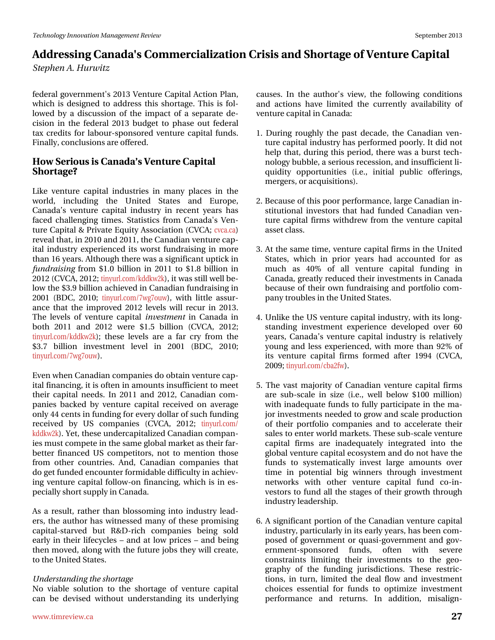inghudo# ryhugp hqv&r#5346#Yhqwsuh#Fdslvdo#Dfwlrq#Sodq/# z klfk#lv#ghvljqhg#wr#dgguhvv#wklv#vkruwdjh1#Nklv#lv#iro0 or z hg#e|#d#glvfxvvlrq#ri#wkh#lpsdfw#ri#d#vhsdudwh#gh0 flvirg#ig#wkh#ihghudd#5346#exgjhw#wr#skdvh#rxw#ihghudd# wd{#fuhglw#iru#oderxu0vsrqvruhg#yhqwxuh#fdslwdd#xqgv# Ilgdool/#frgfoxvlrgv#duh#iihuhg1

### K r z #Vhul r x v#v#Fdgdgd\*v#Yhgwx uh#Fdslwdd# Vkruwdih B

Onh#yhqwsuh#fdslwdc#lqgxwulhv#lq#pdq|#sodfhv#lq#wkh# z r umg/# lqf oxglqj # wkh # X glwhg # Wodwh w # dqg # Hx ur sh /# Fdgdgd\*v#yhgwsuh#fdslwdd#lggxwwl#lg#uhfhgw#lhduv#kdv# idf hg#fkdochqjlqj#wlphv#Awdwtwwfv#iurp#Fdqdgd\$r#Yhq0 wout that F ds I velow the U y dwhth the x I what D wr fl dwir q the YFD at yf d f d, the uhyhdo#k dw#q#5343#dqg#5344/#kkh#Fdqdgldq#yhqwxuh#ds0 lwdc#lqgxww.l#h{shulhqfhg#lw#zruw#ixqgudlvlqj#lq#pruh# wkdq#49#hduv1#Dowkrxjk#wkhuh#zdv#d#vljqlilfdqw#xswlfn#q# ix qgudlvlqj# urp#413#eloolrg#lq#5344#wr#41;#eloolrg#lq# 5345#FYFD/#5345#Mg| x uof r p 2nggnz 5n, /#we dv#wloode hooteh0 or z #wkh#61<#eloolrq#dfklhyhg#q#Fdqdgldq#xqgudlvlqj#q# 5334#+EGF/#5343:#Mg|xuofrp2:zj:rxz,/#zlvk:#dwoh#dvvxu0 dqf h#wkdw#wkh#lp sur yhg#5345#dnyhov#zloo#uhfxu#lq#53461# Wikh#dnyhov#ri#yhqwsuh#fdslwdd#lqyhwphqw#lq#Fdqdgd#lq# er wk#5344#dqg#5345#z huh#' 418#eloolr q#+FYFD/#5345# wig x uof r p 2nggnz 5n, # wk h vh# dny hov# duh# d# i du# f u # i ur p # wk h # ' 61 # elootr q# lqyhvvp hqv# ohyho# lq# 5334# +EGF/# 5343#  $\frac{1}{2}$  widely xuo f r p 2: z j : r x z , 1

Hyhq#z khq#Fdqdgldq#frpsdqlhv#gr#evollq#yhqwxuh#ds0 Iwdo#Iqdqflqj/#w#v#iwhq#q#dprxqww#qvxiilflhqw#wr#phhw# wkhlu#fdslwdd#qhhgv1#Lq#5344#dqg#5345/#Fdqdgldq#frp0 sdqlhv#edfnhg#e|#yhqwsuh#fdslwdd#uhfhlyhg#rq#dyhudjh# rqo|#77#hqw#q#xqglqj#ru#hyhu|#groodu#i#xfk#xqglqj# uhfhlyhg#e|#XV#frpsdqlhv#+FYFD/#5345>#wlq|xuofrp2 nggnz 5n, #k hw#wk hvh#x qghufdslwdd}hg#Fdqdgldq#frpsdq0 Ihv#pxw#frpshwh#q#wkh#vdph#joredo#pdunhw#dv#wkhlu#du0 ehwhu#ilqdqfhg#XV#frpshwlwruv/#qrw#wr#phqwlrq#wkrvh# iurp#rwkhu#frxqwulhv#Dqg/#Fdqdgldq#frpsdqlhv#wkdw# gr#hw#xqghg#hqfrxqwhu#ruplgdedh#gliilfxow|#q#dfklhy0 lqj#yhqwxuh#fdslwdo#iroorz0rq#llqdqflqj/#zklfk#lv#lq#hv0 shfldool#vkruw#xsso|#q#Fdqdgd1#

Dv#d#uhvxow#udwkhu#wkdq#eorwrplqj#lqwr#lqgxwwd#bhdg0 huv/#wkh#dxwkru#kdv#zlwqhvvhg#pdq|#ri#wkhvh#surplvlqj# fdslwdolwduyhg#exw#U) GOulfk#frpsdqlhv#ehlqj#vrog# hduo)#lq#wkhlu#blihf|fohv##dqg#dw#orz#sulfhv##dqg#ehlqj# wk.hq#p ryhg/#dorgj#zlwk#wk.h#xwx.uh#mev#wk.h|#zloo#uhdwh/# w #kh# Kqlvhg# /wdvhv#

#### Xqghuwdqglqj#krh#kruwdjh#

Qr#yldeoh#vroxwlrq#wr#wkh#vkrwdjh#ri#yhqwxuh#fdslwdo# f dq#eh#ghylvhg#z lwkr xw#xqghuwdqglqj #lw#xqghuqlqj #

- 4#Gxulqj#urxjkq#wkh#sdw#ghfdgh/#wkh#Fdqdgldq#yhq0 wxuh#dslwdc#qgxwwu|#kdv#shuiruphg#srruo|#Lw#glg#qrw# k hos#wkdw#gxulgj#wklv#shulrg/#wkhuh#zdv#d#exuvw#whfk0 groril#exeedn/#d#whulrxv#uhfhwlrg/#dqg#gyxiilflhqw#00 txlglw|#rssruw:qlwhv#+l1h1/#lqlwldd#sxedf#riihulqjv/# p huj huv/# u#dft xlvlwlr qv, 1
- 51 Ehf dx vh# i#wk lv#s r ru#s huir up dqf h/#odujh#Fdqdgldq#q0 www.wirgdo#gyhwwrux#wkdw#kdg#ixgghg#Fdgdgldg#yhg0 wx uh#fdslwdc#ilup v#z lwkguhz#iurp#wkh#yhqwx uh#fdslwdc# dwhw#odw#
- 61#Dv#wkh#vdph#wlph/#yhqwxuh#dslvdd#lupv#q#wkh#Xqlvhg# Wodwhv/#zklfk#lq#sulru#|hduv#kdg#dffrxqwhg#iru#dv# pxfk#dv#73(#ri#doo#yhqwxuh#fdslwdo#ixqglqj#lq# Fdqdgd/#juhdwo|#uhgxfhg#wkhlu#qyhwophqw#q#Fdqdgd# ehfdxvh#ri#wkhlu#rzq#ixqgudlvlqj#dqg#sruwirolr#frp0 sdq | #wr xednv#q#wk h#X qlwhg#Wodwhv1
- 714X golnh#wkh#XV#yhqwxuh#dslwdd#qgxvwul/#zlwk#ww#brqj0 wdqglqj#lqyhwphqw#h{shulhqfh#ghyhorshg#ryhu#93# | hduv/#Fdqdgd\*v#yhqwxuh#fdslvøld#lqgxvvu|#lv#uhodvlyho|# |rxqj#dqg#dnw#h{shulhqfhg/#zlwk#pruh#wkdq#<5(#ri# lw#yhqwsuh#fdslwdo#ilupv#iruphg#diwhu#4<<7#+FYFD/# 533</wq|xuofirp2fed5iz,1
- 814 Whaydwhp dmulw #ri#Fdqdgldq#yhqwsuh#fdslwdc#ilupv# duh#vxe0vfddn#lq#vl}h#+l1h1/#zhoo#ehorz# 433#p lootrq,# z lwk#lqdghtxdwh#xqgv#wr#xoo|#sduwlflsdwh#lq#wkh#pd0 mu#qyhwp hqw#ghhghg#wr#urz#dgg#vfdoh#surgxfwlrq# ri#wk.hlu#sruwirolr#frpsdqlhv#dqg#wr#dffhohudwh#wk.hlu# vddhv#w #hqwhu#z ruog#p dunhwr#AWk hvh#vxe Ovfddn#yhqwxuh# fdslwdd#ilup v#duh#lqdghtxdwho|#lqwhjudwhg#lqwr#wkh# joredo#yhqwxuh#dslwdo#hfrv|whp#dqg#gr#qrw#kdyh#wkh# ixqgv#wr#v|wwhpdwlfdoo|#lqyhww#odujh#dprxqww#ryhu# who h#lq#srwhqwldd#elj#zlqqhw#wkurxjk#lqyhwmphqw# ghwzrunv#zlwk#rwkhu#yhqwxuh#fdslwdo#ixqg#fr0lq0 yhvwr uv#wr#xqg#doo#wkh#wodjhv#ri#wkhlu#jurzwk#wkurxjk# lqgxwu #hdghuvkls1

914D# vijqlilfdqw#sruwlrq#ri# wkh#Fdqdgldq#yhqwxuh #dslwdd# lqgx wul/#sduwlfx adud #q#wr#hdud #hduv/#kdv#ehhq#frp0 srvhg#ri#jryhuqphqw#ru#txdvl0jryhuqphqw#dqg#jry0 huqphqw0vsrqvruhg#ixqgv/#riwhq#zlwk#vhyhuh# frqwudlqw#dplwlqj#wkhlu#lqyhwphqw#wr#wkh#jhr0 judsk|#ri#wkh#ixqglqj#mxulvglfwlrqv1#Wkhvh#uhvwulf0 whr gv/#lg#wxug/#dip lwhg#wkh#ghdd#iorz#dgg#lgyhwwp hqw# fkrlfhv#hvvhqwldd#iru#ixqqv#wr#rswlpl}h#lqyhvwphqw# shuir up dqf h#dqg# uhwxuqv#Lq#dgglwlrq/#plvddjq0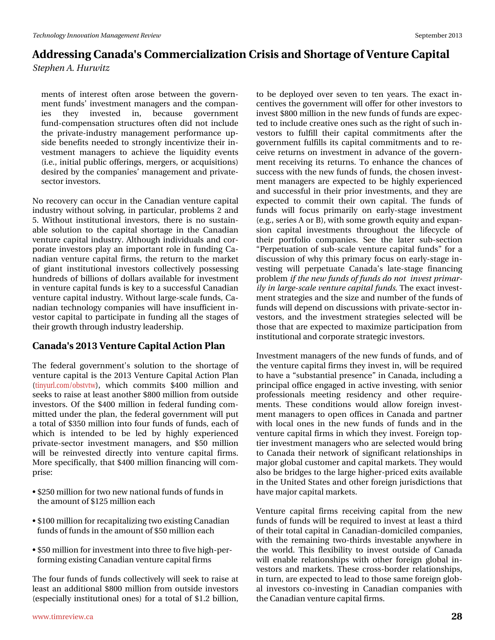p hqw#ri#lqwhuhw#riwhq#durvh#ehwzhhq#wkh#jryhuq0 phqw#xqgv\*#qyhwphqw#pdqdjhuv#dqg#wkh#frpsdq0 lhv# wkh|# lqyhvwhg# lq/# ehfdxvh# jryhuqp hqw# ix.gg0frps.hqvdwlrq#wwxfwx.uhv#riwhq#glg#grw#lqfox.gh# wkh#sulydwhOlqgxwud #p dqdjhp hqw#shuirup dqfh#xs0 vigh#ehqhilw#qhhghg#wr#wurqjd;#qfhqvlyl}h#vkhlu#q0 yhvyp hqw#p dqdj hw#w #df klhyh#wkh#dt xlglw #hyhqw# + 1h1/#qlwldo#sxedf#riihulqjv/#phujhuv/#ru#dftxlvlwlrqv,# ghvluhg#e|#wkh#frpsdqlhv\*#pdqdjhphqw#dqg#sulydwh0 vhf w u#qyhvw w1

Qr#uhfryhu|#fdq#rffxu#q#wkh#Fdqdgldq#yhqwxuh#fdslwdd# lqgxwu|#zlwkrxw#vroylqj/#lq#sduwlfxodu/#sureohpv#5#dqg# 81#Z lwkrxw#lqvwlwxwlrqdd#lqyhvwruv/#wkhuh#lv#qr#vxwodlq0 dech#vroxwirg#wr#wkh#fdslwdd#vkruwdjh#lq#wkh#Fdqdgldq# yhqwsuh#fdslwdc#qgxwwu|#Dowkrxjk#qglylgxdov#dqg#fru0 srudwh#lqyhwwrux#sod|#dq#lpsruwdqw#uroh#lq#lxqglqj#Fd0 qdgldg#yhqwsuh#fdslwdd#lup v/#wkh#uhwsug#wr#wkh#pdunhw# ri#jldqw#lqwww.wtrqdo#lqyhwwruw#froohfwlyhol#srwhwlqj# kxqguhgv#ri#eloolrqv#ri#grooduv#dydlodedn#ru#qyhvwphqw# lq#yhqwsuh#dslwdc#xqgv#v#nh|#wr#d#vxffhvvixc#Fdqdgldq# yhqw.uh#dslvdd#qgxvvu| 1#Zlwkrxw#ddujh0vfddn#xqgv/#Fd0 qdgldq#whfkqroril#frpsdqlhv#zloo#kdyh#qvxiilflhqw#q0 yhvwruff dsiwddwr#sduwfisdwh#q#xqqiqj#doo#wkh#wdjhv#ri# wkhlun#urzwk#wkurxjk#qgxvwu|#bhdghuvkls1#

### Fdqdgd\$r#5346#Yhqwxuh#Fdslwdd#Dfwlrq#Sodq#

Wikh#ihghudd#jryhuqphqv&v#vroxwlrq#wr#wkh#vkruwdjh#ri# yhqw.uh#dslwdd#v#wkh#5346#Yhqwxuh#Fdslwdd#Dfwlrq#Sodq# + wlq|xuofrp2rewywz, /#zklfk#frpplw#'733#plootrq#dqg# vhhnv#w #udlvh#dw#bdvv#dqrwkhu#; 33#plootrq#urp#xwlgh# lqyhwww.w.1#Ri#wkh#733#plootrq#lq#ihghudo#ixqglqj#frp0 plwhg#xqghu#wkh#sodq/#wkh#ihghudo#jryhuqphqw#zloo#sxw# d#wrvddo#i#683#plootrq#tqwr#trxu#xqqv#ti#xqqv/#hdfk#ti# z klf k#lv#lqwhqghg#wr#eh#ohg#e|#klj ko|#h{shuhqf hg# suydwh Ownf wru#lqyhwp hqw#p dqdj hw/#dqg#' 83#p lootrq# z loo#eh#uhlqyhvvhg#gluhf vo|#lqwr#yhqwruh#fdslvdd#ilup v# Pruh#vshflilfdool/#wkdw#733#plootrq#llqdqflqj#zloo#frp0  $s$ u/ $rh=$ 

- #583 #plootrq#iru#nzr#qhz#qdwlrqdo#xqgv#ti#xqgv#q# wkh#dprxqw#i#458#plootrq#hdfk
- -#433#plootrq#ru#uhfdslwdd}lqj#nzr#h{lwwlqj#Fdqdgldq# ixqqv#i#xqqv#q#wkh#dprxqw#i#83#plootrq#hdfk
- -#83#plootrg#ru#gyhwpphgw#gwr#wkuhh#wr#lyh#kljk0shu0 ir up lqj #n{lvwlqj #Fdqdgldq#yhqwxuh#dslwdo#lup v

Wkh#irxu#xqgv#ri#xqgv#froohfwlyho|#zloo#vhhn#wr#udlvh#dw# dndw#dq#dgglwlrqdc#; 33#plootrq#lurp#rxwlgh#lqyhwvw.w# +hvshfldoo|#lqvwlwxwlrqdo#rqhv,#iru#d#wrwdo#ri#415#eloolrq/#

w #eh#ghsor | hg#r yhu#vhyhq#wr#vhq#| hduv#AWkh#h{dfw#q0 f hqwlyhv#wkh#ryhuqphqw=loo#iihu#ru#wkhu#qyhvwruv#wr# lqyhvw#; 33#plootrq#q#wkh#qhz#xqgv#i#xqgv#duh#h{shf0 whg#wr#qfoxgh#uhdwlyh#qhv#vxfk#Jv#wkh#uljkw#i#vxfk#q0 yhvwr w#wr#ixoiloo#wkhlu#fdslwdo#frpplwphqwr#diwhu#wkh# jryhugphqw#xoiloox#lww#fdslwdo#frpplwphqww#dqg#wr#uh0 f hlyh#uhwxuqv#rq#lqyhvwp hqw#lq#dgydqfh#ri#wkh#jryhuq0 p hqwtuhf hlylqi#w#uhwxuqv#AVr#hqkdqfh#wkh#fkdqfhv#ri# vxffhw#zlwk#wkh#qhz#xqgv#i#xqgv/#wkh#krvhq#qyhw0 p hqwtp dqdj huv#duh#h{shfwhg#wr#eh#kljkoj#h{shulhqfhg# dqg#vxffhvvixc#lq#wkhlu#sulru#lqyhvwphqwv/#dqg#wkh|#duh# h{shfwhg#wr#frpplw#wkhlu#rzq#fdslwdd#Wkh#ixqgv#ri# ixqqv#zloo#irfxv#sulpduloj#rq#hduoj0woljh#lqyhwophqw# +h1j1/#vhulhv#D#tu#E,/#zlwk#vrph#jurzwk#htxlw|#dqg#h{sdq0 virg#fdsivdd#lqyhvvphqw#wkurxjkrxw#wkh#dihf|fdn#ri# wkhlu#sruwirdr#frpsdqlhv#Vhh#wkh#odwhu#vxe0vhfwlrq# <Shushwxdwlrq#ri#vxe0vfddn#yhqwxuh#fdslwdd#xqgv™#fru#d# glvfxwlrg#ri#zk|#wklv#sulpdu|#lrfxv#rq#hduo|0 wodjh#lq0 yhvvigi #z loc#shushvxdvh#Fdgdgd\*v#odvh0vvoljh#ilgdgflgj# sureohp#li#wkh#qhz#xqgv#li#xqgv#gr#qrw##qyhwwsulpdu0 loj#q#odujh0vfdoh#yhqwxuh#fdslwdo#xqgv#1Wkh#h{dfw#qyhvv0 p hqw twudwhjlhv#dqg#wkh#vl}h#dqg#qxpehu#i#wkh#xqgv#i# ixqgv#zloo#ghshqg#q#glvfxvvlrqv#zlvk#sulydvh0vhfwru#q0 yhvw w/#dqg#wkh#lqyhvwp hqw#vwdwhjlhv#vhdnfwhg#zloo#eh# wk r vh#wk dw#duh#h{shfwhg#wr#pd{lpl}h#sduwflsdwlrq#lurp# lgwww.wtrgdo#dgg#rusrudwh#wudwhjlf#gyhwwruv1

Layhwp haw to dad huw tith khttphz #xqqv tith xqqv/ttdqqttit wkh#yhqwsuh#dsiwdd#lupv#wkh|#qyhvw#q/#zioo#eh#uhtxiuhg# w #kdyh#d# vxevwdqwldd#suhvhqfh<sup>T#</sup>#q#Fdqdgd/#qfoxglqj#d# sul qf Isdo#iilfh#hqjdjhg#q#dfwlyh#qyhvwlqj/#zlwk#vhqlru# surih wir qdo/#p hhwlqj#uhvighqf|#dqg#rwkhu#uhtxluh0 p hqww#Wkhvh#frqgIwlrqv#zrxog#doorz#iruhljq#lqyhw0 p hqwtp dqdj huv#wr#r shq#riilfhv#lq#Fdqdgd#dqg#sduwqhu# z lwk# orf do#r q hv#l q# wk h#q hz #x q gv#r i #x q gv#d q g #l q # wk h # yhqwxuh#dslwdc#lupv#q#zklfk#wkh|#qyhvw1#ruhljq#wrs0 whu#qyhwp hqwp dqdjhuw# kr#duh#whohfwhg# rxon#eulqj# w #Fdqdgd#Mkhlu#qhwzrun#ri#Mjqlilfdqw#uhodwlrqvklsv#lq# p dmu#joredo#xwwrphu#dqg#dslwdo#pdunhwr#AWkh|#zrxog# dovr#eh#eulgihv#wr#wkh#ddujh#kljkhu0sulfhg#h{lw#dydlodedh# lq#wkh#Xqlvhg#Wodwhv#dqg#rwkhu#iruhljq#mxulvglfwlrqv#wkdw# kdyh#p dmu#dslwdo#p dunhwr#

Yhqwsuh#fdslwdd#ilup v#uhfhlylqj#fdslwdd#iurp#wkh#qhz# ixqqv#i#xqgv#zloo#eh#uhtxluhg#wr#qyhw#dw#bhdw#d#wklug# ri#wk.hlu#wrvdd#dslvdd#q#Fdqdgldq0grplfldng#frpsdqlhv/# z lwk#wkh#uhp dlqlqj#wzr0wklugv#lqyhvwdedn#dq|zkhuh#lq# wk h#z ruog1#Wklv#idn{leldw|#wr#lqyhww#rxwvlgh#ri#Fdqdgd# z loo#hqdeoh#uhodwlr qvklsv#z lwk#rwkhu#iruhljq#joredo#lq0 yhvw w#dqg#p dunhw #A/khvh# ur w0er ughu#uhodwr qvklsv/# lq#wxuq/#duh#h{shfwhg#wr#bhdg#wr#wkrvh#vdph#ruhljq#jore0 do#qyhwww.thetrologyhwlogi#q#Fdqdgldq#frpsdqlhv#zlwk# wkh#Fdqdgldq#yhqwxuh#dslwdo#lupv#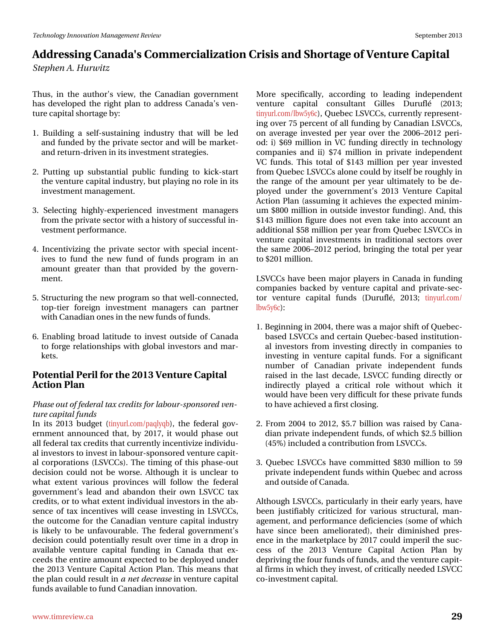Wkxv/#lq#wkh#dxwkruŠy#ylhz/#wkh#Fdqdgldq#jryhuqphqw# k dv#ghyhorshg#wkh#uljkw#sodq#wr#dgguhw#Fdgdgd\*v#yhq0 wx uh# ds lwdo#vk r uwdj h#e  $|=$ 

- 4#Exlogiqj#d#vhoi0vxwollqiqj#lqgxwwq#wkdw#zloo#eh#ohg# dqg#xqghg#e|#wkh#sulydwh#vhfwru#dqg#zloo#eh#pdunhw0# dqg#uhwxuq0gulyhq#q#w#qyhwp hqw#wudwhjlhv1
- 5#Sxwlqj#xs#vxevvdqwldd#sxedf#ixqglqj#wr#nlfn0wduw# wkh#yhqwxuh#dslwdc#qgxwwq/#exw#sod|lqj#qr#urch#q#tw# lqyhwp hqwp dqdj hp hqwl
- 6#Vhohf whai #klikoj Oh{shulhafha#lqyhwop haw#p dadjhuw# iurp #wk.h#sulydwh#whfwru#zllwk#d#kllwwru|#ri#wxffhwvixo#lq0 yhvyp hqwshuir up dqfh1
- 71#Lqfhqwlyl}lqj#wkh#sulydwh#vhfwru#zlwk#vshfldc#lqfhqw0 lyhv#wr#ixqq#wkh#qhz#ixqq#ri#ixqqv#surjudp#lq#dq# dprxqw#juhdwhu#wkdq#wkdw#surylghg#e|#wkh#jryhuq0 p hqwl
- 81# Awux fwx ulqj# wk h#qhz#surjudp# wr# wk dw#zhoo0frqqhfwhg/# ws Owhu#ir uhljq#lqyhwp hqw#p dqdjhuv#fdq#sduwqhu# z lwk#Fdgdgldg#ghv#g#wkh#ghz#xggv#i#xggv1
- 914-Iqdedgi#eurdg#odwwxgh#wr#qyhw#rxwlgh#ri#Fdqdgd# wr#trujh#uhodwlrqvklsv#zlwk#joredo#lqyhwwruw#dqg#pdu0 nhw1

#### Srwhqwldd Shuld#ru#wkh#5346#Yhqwxuh#Fdslwdd# Df wtr q#Sodq

#### Skdvh#xw#i#hghudd#d{#uhglw#ru#derxu0vsrqvruhg#yhq0 wxuh#dslwdo#xqqv

Lq#lw#5346#exgjhw#-wlq|xuofrp2sdtdte,/#wkh#ihghudd#jry0 huqp hqw#dqqrxqfhg#wkdw#e|#534:/#lw#zrxog#skdvh#rxw# doo#hghudo#wd{#uhglw#wkdw#xuuhqwo|#qfhqwlyl}h#qglylgx0 do#qyhvwr uv#wr#qyhvv#q#dder xu0vsr qvr uhg#yhqwx uh#dslw0 do ff rusrudwirqv#+OVYFFv,1#Wkh#wlplqj#ri#wklv#skdvh0rxw# ghflvirg#frxog#grw#eh#zruvh1#Dowkrxjk#lw#lv#xgfohdu#wr# z kdw#h{whqw#ydulrxv#surylqfhv#zloo#iroorz#wkh#ihghudo# j r yhuqp hqwt#dndg#dqg#dedqgrq#wkhlu#rzq#OVYFF#wd{# f uhglw/# u#wr#z kdw#h{whqw#qglylgxdc#qyhvwruv#q#wkh#de0 vhqf h#r i#wd{#lqf hqwlyhv#z loo#f hdvh#lqyhvwlqj #lq#OVYFFv/# wkh#xwfrph#ru#wkh#Fdqdgldq#yhqwxuh#fdslwdc#lqgxwwul# lv#dnhd #wr#eh#xqidyrxudedn#AWkh#ihghudd#jryhugphqw\*v# ghflvirq#frxog#srwhqwldoo|#uhvxow#yhu#wlph#lq#d#gurs#lq# dydlodedn#yhqwxuh#fdslwdd#ixqglqj#lq#Fdqdgd#wkdw#h{0 fhhgv#wkh#hqwluh#dprxqw#h{shfwhg#wr#eh#ghsor|hg#xqghu# wkh#5346#Yhqwxuh#Fdslwdd#Dfwlrq#Sodq1#A/klv#phdqv#Akdw# wk h#sodg#frxog#uhvxow#g#d#ghw#ghfuhdvh#g#yhgwxuh#dslwdd# ixqqv#dydlodedn#w#xqg#Fdqdgldq#qqrydwlrq1

Pruh#vshflilfdool/#dffruglgj#wr#ohdglgj#lgghshqghqw# yhqw.uh#fdslvdd#frqvxovdqv#Jloohv#Gxuxio4#+5346:# lqj # yhu # 8 # shuf hqw # i # boo # x qglqj # e | # F dqdgldq # O VYF F v/ # r q#dyhudj h#lqyhwhg#shu# hdu#r yhu#wkh#5339' 5345#shul0 rg=#l,#9<#plootrq#lq#YF#ixqqlqj#qluhfwo|#lq#whfkqrorj|# frp sdqlhv#dqg#ll,#:7#plootrq#lq#sulydvh#lqghshqghqv# YF#xqqv#Wklv#wrvdd#ri#476#plootrq#shu#lhdu#lqyhwhg# iurp #Txhehf#DVYFFv#dorqh#frxog#e|#wwhoi#eh#urxjkq#q# wkh#udqjh#ri#wkh#dprxqw#shu#|hdu#xowlpdwho|#wr#eh#gh0 sor | hg#xqghu#vkh#jryhuqphqw\*v#5346#Yhqwxuh#Fdslwdd# Dfwtrg#Sodg#Hdvvxplgj#lw#dfklhyhv#Mkh#h{shfwhg#plglp0 xp #; 33#p lootrq#q# xwlgh#qyhwru#xqglqj, #Dqg/#wklv# '476#plootrq#lijxuh#grhv#qrw#nyhq#wdnh#lqwr#dffrxqw#dq# dgglwr gdo#8; #p lootr g#shu#hdu#urp #Txhehf#OVYFFv#g# yhqwx uh#f dslwdd#l qyhwp hqwr#l q#wudglwlr qdd#vhfwr uv#r yhu# wk h#vdp h#5339' 5345#shulr g/#eulqjlqj#wk h#wr wdd#shu#| hdu# wr#534#plootrq1

OVYFFv#kdyh#ehhq#pdmu#sod|huv#q#Fdqdgd#q#xqglqj# frp sdqlhv#edfnhg#e|#yhqwxuh#fdslwdd#dqg#sulydwh0vhf0 wru#yhqwxuh#fdslwdc#ixqgv#+Gxuxio42#5346#wlq|xuofrp2  $\mathfrak{E} \times 8$ | 9f  $\mathfrak{f} =$ 

- 41 / Ehj lqqlqj #q#5337/#wk.huh #z dv#d#p dmu#vkliw#i # Txhehf 0 edvhg#OVYFFv#dqg#huvdlq#Txhehf0edvhg#qvvlvxwtrq0 do#lqyhwwrux#iurp#lqyhwl/qj#gluhfwo|#lq#frpsdqlhv#wr# lqyhvwlqj#lq#yhqwxuh#fdslwdo#ixqgv1#lru#d#vljqlilfdqw# gxp ehu#ri#Fdgdgldg#sulydwh#lgghshgghgw#ixggv# udivhg#iq#wkh#odvw#ghfdgh/#OVYFF#ixqglqj#gluhfwo|#ru# lqgluhfwo|#sod|hg#d#fulwfdo#uroh#zlwkrxw#zklfk#lw# zrxog#kdyh#ehhq#yhu|#gliilfxow#ru#wkhvh#sulydwh#xqgv# w #kdyh#df klhyhg#d#luw# or vlqj 1
- 5# urp #5337#wr#5345/#81: #elootrq#z dv#udlvhg#el#Fdqd0 gldq#sulydwh#qghshqghqw#xqgv/#i#zklfk#518#eloolrq# +78(, #qfoxghg#d#frqwulexwlrq#urp#OVYFFv1
- 61#Txhehf#OVYFFv#kdyh#frpplwhg#;63#plootrq#wr#8<# sulydwh#qghshqghqw#xqgv#zlwklq#Txhehf#dqg#dfurw#  $d$ qq# xwlqh# i#Fdqdqd1

Dowkr xj k#OVYFFv/#sduwf xoduoj #q#wkhlu#hduoj #j hduv/#kdyh# ehhq#mxwlilded;#fulwfl}hg#iru#ydulrxv#wwxfwxudd#pdq0 dj hp hqw#dqg#shuir up dqf h#ghilflhqflhv#wrp h# i#z klfk# kdyh#vigfh#ehhq#dphdrudwhg,/#wkhiu#gipiqivkhg#suhv0 hqf h#q#wkh#pdunhwsodf h#e|#534:#frxog#pshulc#wkh#vxf0 f hw# ri# wkh#5346#Yhqwx uh#Fdslwdd#Dfwlrq#Sodq#e|# ghsulylqj#wkh#rxu#xqgv#i#xqgv/#dqg#wkh#yhqwxuh#dslw0 do#lup v#q#z klfk#wkh|#qyhvw/#ri#ulwfdoo|#qhhghg#OVYFF# fr Olqyhvvp hqv#dslvdo#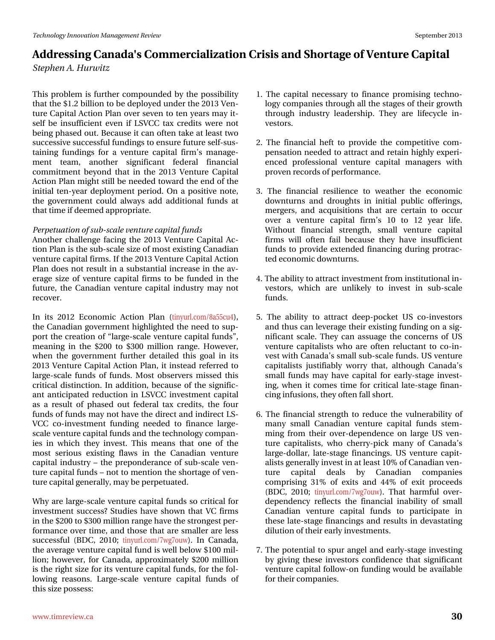Wilv#surednp#v#xuwkhu#rpsrxqghg#e|#wkh#srvvleldw|# wkdw#wkh#415#elootrq#wr#eh#ghsor|hg#xqghu#wkh#5346#Yhq0 wx uh#Fdsl velo#Df wtr q#Sodq#r yhu#vhyhq#wr#whq#t hduv#p d|#w0 vhoi#eh#qvxiilflhqv#hyhq#li#OVYFF#vol{#fuhqlw#zhuh#qrv# ehlqj#skdvhg#xw#Ehfdxvh#w#dq#iwhq#wdnh#dw#bdvw#wzr# vxffhvvlyh#vxffhvvixd#xqglqjv#wr#hqvxuh#xwxuh#vhoi0vxv0 walqlqj#ixqqlqjv#iru#d#yhqwxuh#fdslwdo#ilup\*v#pdqdjh0 p hqw# whdp /# dqrwkhu# vljqlilfdqw# ihghudd# ilqdqfldd# frpplwphqw#eh|rqg#wkdw#lq#wkh#5346#Yhqwxuh#Fdslwdc# Df vlr q#Sodq#p lj k v#vvloo#eh#qhhghg#wr z dug#wk h#hqg#r i#wk h# lqlwdd#whq0| hdu#ghsor| phqw#shulrg1#Rq#d#srvlwlyh#qrwh/# wkh#jryhuqphqw#frxog#dozd|v#dgg#dgglwlrqdd#ixqgv#dw# wkdw#wph#i#ghhphg#dssursuldwh1

Shushwadwirg#i#xe0vfddn#yhqwauh#dslwdd#xggv Dqrwkhu#fkdoohqjh#idflqj#wkh#5346#Yhqwxuh#Fdslwdc#Df0 whrq#Sodq#v#wkh#vxe0vfddn#vl}h#ri#prw#h{lwwlqj#Fdqdgldq# yhqw.uh#dslvdd#lup v#Li#wkh#5346#Yhqw.uh#Fdslvdd#Dfwlrq# Sodg#grhv#grw#uhvxow#g#d#vxevvdgwldd#gfuhdvh#g#wkh#dy0 hudjh#vl}h#ri#yhqwxuh#fdslwdc#lupv#wr#eh#ixqghg#lq#wkh# ixwxuh/#wkh#Fdqdgldq#yhqwxuh#fdslwdc#lqgxvwu|#pd|#qrw# uhf r yhu#

Lq#lw#5345#Hfrqrp If#Dfwlrq#Sodq#+wlq|xudfrp2;d88fx7,/# wk.h#Fdqdgldq#jryhuqphqw#kljkoljkwhg#wkh#qhhg#wr#vxs0 sr w#wkh#fuhdwlrg#ri#odujh0vfdoh#yhqwxuh#fdslwdo#xqqv™# p hdqlqj #lq#wkh# 533#wr# 633#p lootrq#udqj ht#Krzhyhu/# z khq#wkh#jryhuqphqw#ixuwkhu#ghwdlohg#wklv#jrdo#lq#lww# 5346#Yhqw: uh#Fdslvdd#Dfwlrq#Sodq/#w#qvvhdg#uhihuuhg#wr# odujh 0 vf doh#ix qgv#ri#ix qgv#Prw#revhuyhuv#plwhg#wklv# fulwfdo#glwwqfwlrq1#Lq#dgglwlrq/#ehfdxvh#ri#wkh#vljqlilf0 dqw#dqwflsdwhg#uhgxfwlrq#lq#OVYFF#lqyhwnphqw#fdslwdd# dv#d#uhvxow#ri#skdvhg#rxw#ihghudd#wd{#fuhglwv/#wkh#irxu# ix ggv#i#x ggv#pdl#grw#kdyh#wkh#gluhfw#dgg#ggluhfw#OV0 YFF#fr0qyhwphqw#ixqglqj#qhhghg#wr#ilqdqfh#odujh0 vfddn#yhqwxuh#dslwdd#xqgv#dqg#wkh#mlfkqrorj|#frpsdq0 Ihv#lq#z klfk#wkh|#lqyhvw##Wklv#p hdqv#wkdw#rqh#ri#wkh# prw#vhulrxv#h{lvwlqj#iodzv#lq#wkh#Fdqdgldq#yhqwxuh# fdslwdd#qgxwwu|##wkh#suhsrqghudqfh#ri#vxe0vfddn#yhq0 wx uh#dslwdc#x qgv##qrw#wr#phqwlrq#wkh#wkruwdjh#i#yhq0 wx uh# ds lwdc# hq hudool /#p d| #eh#s hus hwx dwhg #

Z k | #duh#oduj h0vfdoh#yhqwxuh#fdslwdd#xqgv#vr#fulwfdd#ru# lqyhwp hqw4xffhwB4Mxglhv#kdyh#vkrzq#wkdw#YF#llupv# lq#wkh#533#wr#633#plootrq#udqjh#kdyh#wkh#wwrqjhwwshu0 ir up daf h#r yhu#whp h/#dag#wkr vh#wkdw#duh#vp dochu#duh#dhvv# vxffhwixd#EGF/#5343#Mq|xuofrp2:zj:rxz,1#Lq#Fdqdgd/# wk h#dyhudjh#yhqwx uh#fdslwdd#xqg#lv#zhoo#ehorz#433#plo0 drq :#krzhyhu/#iru#Fdqdgd/#dssur{lpdwho|#533#plootrq# lv#wkh#uljkw#vl}h#iru#wv#yhqwxuh#dslwdc#ixqgv/#iru#wkh#iro0 or z lgj #uhdvr gv# Cduj h Ovfddn#yh gwsuh#fdslwdd#ix ggy#r i# wklv#d}h#srwhw=

- 41# What dsived # chowduj# wr#ilgdgfh#surplvlgj# whfkgr0 oril#frpsdqlh∨#wkurxik#doo#wkh#wodih∨#ri#wkhlu#jurzwk# wkurxjk#lqgxwwq#dndghuvkls1#Wkh|#duh#dihf|fdn#lq0 yhww w#
- 51# Wkh#ilqdqfldd#khiw#wr#surylgh#wkh#frpshwlwyh#frp0 shqvdwr q#qhhghg#wr#dwwdfw#dqg#uhwdlq#kljkoj#h{shul0 hqfhq#surihvvlrqdd#yhqwsuh#fdslvdd#pdqdjhuv#zlvk# suryhq#uhfrugv#i#shuirupdqfh#
- 6#Wkh#ilqdqfldd#uhvldhqfh#wr#zhdwkhu#wkh#hfrqrplf# grzqwxuqv#dqg#gurxjkw#lq#lqlwldd#sxedf#riihulqjv/# phujhuv/#dqg#dftxlvlwlrqv#wkdw#duh#fhuwdlq#wr#rffxu# ryhu#d#yhqwxuh#fdslwdc#ilup \*v#43#wr#45#|hdu#dih1# Z lwkrxw#ilgdgfldd#ww.hqjwk/#vpdoo#yhgwxuh#fdslwdd# ilup v#z loc#r ivhq#idlo#ehfdxvh#vkh|#kdyh#lqvxiilflhqv# ixqgv#wr#surylgh#h{whqghg#llqdqflqj#gxulqj#surwudf0 whg#hfrqrp If#grzqwxuqv1#
- 71#Wkh#delolw|#wr#dww.dfw#qyhvwphqw#urp#qvwlwxwlrqdo#q0 yhwr w/#z klf k#duh#xqdnhd #wr#lqyhw#lq#vxeMddh# ixqgv1
- 8#Wkh#deldw #wr#dwwdfw#ghhs0srfnhw#XV#fr0lqyhvwrw# dqg#wkxv#fdq#bhyhudjh#wkhlu#h{lvwlqj#xqglqj#rq#d#vlj0 qlilfdqw#vfddn1#Vkh|#fdq#dvvxdjh#wkh#frqfhuqv#ri#XV# yhqwsuh#fdslwddvw#zkr#duh#riwhq#uhoxfwdqw#wr#fr0lq0 yhvwe lwk#Fdqdgd\*v#vpdoo#vxe0vfddn#xqgv#XV#yhqwxuh# f ds Ivdd ww#ma w vilded #z r wu| #wk dw#dowk r x j k #F dgdgd\*v# vp doc#ixqqv#pd | #kdyh#fdslvdd#iru#hdudj0wdjh#lqyhw0 lqj/#zkhq#lw#frphv#wlph#fru#fulwfdo#odwh0wodjh#llqdq0 flqj#qixvlrqv/#wkh|#iwhq#doo#vkruw1#
- 91# Whatiqdqfldd #wuhqjwk #wr#uhgxfh #wkh#yxoqhudeldwy #ri# p dq|#vp doo#Fdqdqldq#yhqwxuh#fdslvold#ixqgv#vvlnp0 plqj# urp# wkhlu#ryhu0ghshqghqfh#rq#odujh#XV#yhq0 wout that ds lvdd www / # z k r # f k huu ds l f n # p dq | # r i # F dq dg d \* v # odujh 0groodu/#odwh0 wodjh#ilqdqflqjv1#XV#yhqwxuh#fdslw0 dolvw#jhqhudoot#qyhvw#q#dw#bdvw#43(#i#Fdqdgldq#yhq0 wsuh# fdslwdd# ghdov# e|# Fdgdgldg# frp sdglhv# frp sulviqj#64(#ri#h{lw#dqg#77(#ri#h{lw#surfhhgv# +EGF/#5343:#Wq|xuofrp2:zj:rxz,1#Wkdw#kdupixo#ryhu0 ghshqghqf | #uhidnf w#wkh#ilqdqfldd#lqdeldw| #ri#vp doo# Fdqdgldq#yhqwxuh#fdslwdc#ixqgv#wr#sduwflsdwh#lq# wk.hvh#bdwh0wdjh#llqdqflqjv#dqg#uhvxow#lq#ghydvvdwlqj# gloxwlrg#i#wkhlu#hduo|#qyhvwphqww1#
- : #A/kh#srwhqwldd#wr#vsxu#dqjhd#dqg#hdudj0vwdjh#lqyhvwlqj# e| #jlylqj #wkhvh#lqyhwwr w#frqilghqfh#wkdw#vljqlilfdqw# yhqwxuh#dslwdd#roorz0rq#xqglqj#zrxog#eh#dydlodeoh# iru#wkhlu#frpsdqlhv1#